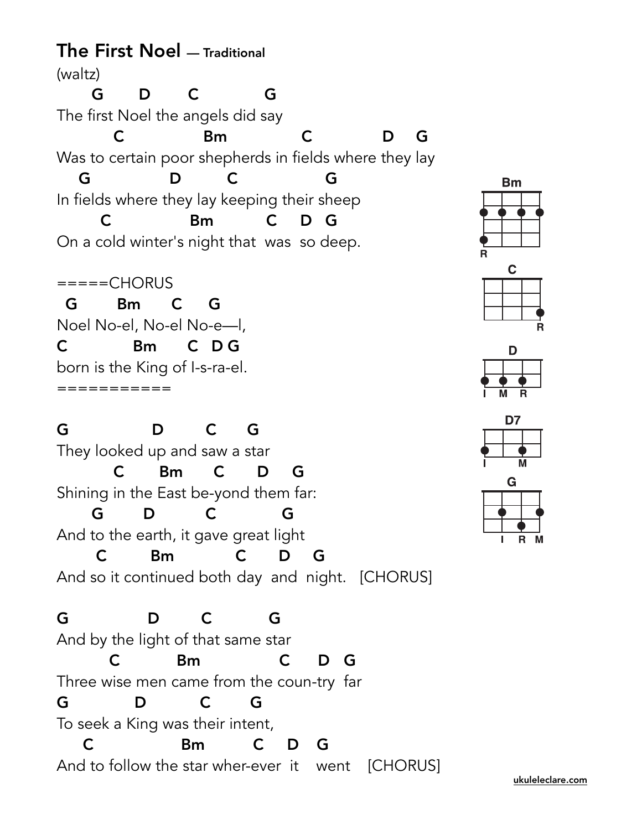The First Noel — Traditional (waltz) G D C G The first Noel the angels did say C Bm C D G Was to certain poor shepherds in fields where they lay G D C G In fields where they lay keeping their sheep C Bm C D G On a cold winter's night that was so deep.

 $====CHORUS$  G Bm C G Noel No-el, No-el No-e—l, C Bm C D G born is the King of I-s-ra-el. ===========

G D C G They looked up and saw a star C Bm C D G Shining in the East be-yond them far: G D C G And to the earth, it gave great light C Bm C D G And so it continued both day and night. [CHORUS]

G D C G And by the light of that same star C Bm C D G Three wise men came from the coun-try far G D C G To seek a King was their intent, C Bm C D G And to follow the star wher-ever it went [CHORUS]





| M | o |  |
|---|---|--|





[ukuleleclare.com](http://ukuleleclare.com)